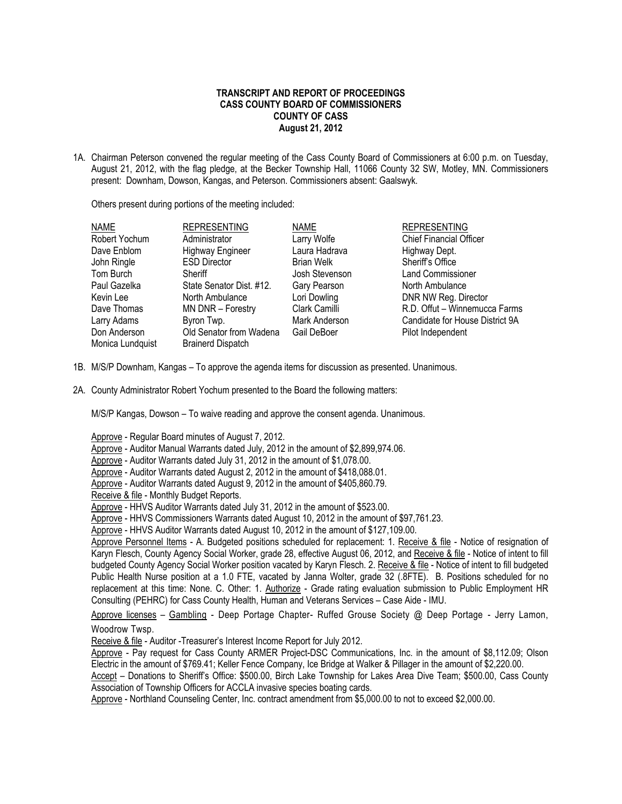## **TRANSCRIPT AND REPORT OF PROCEEDINGS CASS COUNTY BOARD OF COMMISSIONERS COUNTY OF CASS August 21, 2012**

1A. Chairman Peterson convened the regular meeting of the Cass County Board of Commissioners at 6:00 p.m. on Tuesday, August 21, 2012, with the flag pledge, at the Becker Township Hall, 11066 County 32 SW, Motley, MN. Commissioners present: Downham, Dowson, Kangas, and Peterson. Commissioners absent: Gaalswyk.

Others present during portions of the meeting included:

| <b>NAME</b>      | <b>REPRESENTING</b>      | <b>NAME</b>       | <b>REPRESENTING</b>             |
|------------------|--------------------------|-------------------|---------------------------------|
| Robert Yochum    | Administrator            | Larry Wolfe       | <b>Chief Financial Officer</b>  |
| Dave Enblom      | <b>Highway Engineer</b>  | Laura Hadrava     | Highway Dept.                   |
| John Ringle      | <b>ESD Director</b>      | <b>Brian Welk</b> | Sheriff's Office                |
| Tom Burch        | Sheriff                  | Josh Stevenson    | <b>Land Commissioner</b>        |
| Paul Gazelka     | State Senator Dist. #12. | Gary Pearson      | North Ambulance                 |
| Kevin Lee        | North Ambulance          | Lori Dowling      | DNR NW Reg. Director            |
| Dave Thomas      | MN DNR - Forestry        | Clark Camilli     | R.D. Offut - Winnemucca Farms   |
| Larry Adams      | Byron Twp.               | Mark Anderson     | Candidate for House District 9A |
| Don Anderson     | Old Senator from Wadena  | Gail DeBoer       | Pilot Independent               |
| Monica Lundquist | <b>Brainerd Dispatch</b> |                   |                                 |

- 1B. M/S/P Downham, Kangas To approve the agenda items for discussion as presented. Unanimous.
- 2A. County Administrator Robert Yochum presented to the Board the following matters:

M/S/P Kangas, Dowson – To waive reading and approve the consent agenda. Unanimous.

Approve - Regular Board minutes of August 7, 2012.

- Approve Auditor Manual Warrants dated July, 2012 in the amount of \$2,899,974.06.
- Approve Auditor Warrants dated July 31, 2012 in the amount of \$1,078.00.
- Approve Auditor Warrants dated August 2, 2012 in the amount of \$418,088.01.
- Approve Auditor Warrants dated August 9, 2012 in the amount of \$405,860.79.
- Receive & file Monthly Budget Reports.

Approve - HHVS Auditor Warrants dated July 31, 2012 in the amount of \$523.00.

Approve - HHVS Commissioners Warrants dated August 10, 2012 in the amount of \$97,761.23.

Approve - HHVS Auditor Warrants dated August 10, 2012 in the amount of \$127,109.00.

Approve Personnel Items - A. Budgeted positions scheduled for replacement: 1. Receive & file - Notice of resignation of Karyn Flesch, County Agency Social Worker, grade 28, effective August 06, 2012, and Receive & file - Notice of intent to fill budgeted County Agency Social Worker position vacated by Karyn Flesch. 2. Receive & file - Notice of intent to fill budgeted Public Health Nurse position at a 1.0 FTE, vacated by Janna Wolter, grade 32 (.8FTE). B. Positions scheduled for no replacement at this time: None. C. Other: 1. Authorize - Grade rating evaluation submission to Public Employment HR Consulting (PEHRC) for Cass County Health, Human and Veterans Services – Case Aide - IMU.

Approve licenses - Gambling - Deep Portage Chapter- Ruffed Grouse Society @ Deep Portage - Jerry Lamon, Woodrow Twsp.

Receive & file - Auditor -Treasurer's Interest Income Report for July 2012.

Approve - Pay request for Cass County ARMER Project-DSC Communications, Inc. in the amount of \$8,112.09; Olson Electric in the amount of \$769.41; Keller Fence Company, Ice Bridge at Walker & Pillager in the amount of \$2,220.00.

Accept – Donations to Sheriff's Office: \$500.00, Birch Lake Township for Lakes Area Dive Team; \$500.00, Cass County Association of Township Officers for ACCLA invasive species boating cards.

Approve - Northland Counseling Center, Inc. contract amendment from \$5,000.00 to not to exceed \$2,000.00.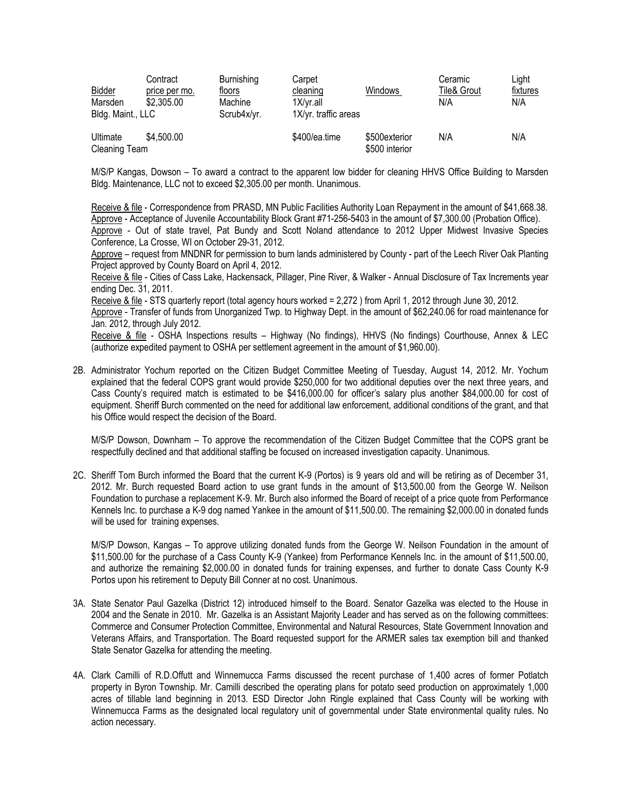| Bidder<br>Marsden<br>Bldg. Maint., LLC | Contract<br>price per mo.<br>\$2,305.00 | <b>Burnishing</b><br>floors<br>Machine<br>Scrub4x/yr. | Carpet<br>cleaning<br>$1X/yr$ .all<br>1X/yr. traffic areas | <b>Windows</b>                  | Ceramic<br><b>Tile&amp; Grout</b><br>N/A | Light<br>fixtures<br>N/A |
|----------------------------------------|-----------------------------------------|-------------------------------------------------------|------------------------------------------------------------|---------------------------------|------------------------------------------|--------------------------|
| Ultimate<br><b>Cleaning Team</b>       | \$4,500.00                              |                                                       | \$400/ea.time                                              | \$500exterior<br>\$500 interior | N/A                                      | N/A                      |

M/S/P Kangas, Dowson – To award a contract to the apparent low bidder for cleaning HHVS Office Building to Marsden Bldg. Maintenance, LLC not to exceed \$2,305.00 per month. Unanimous.

Receive & file - Correspondence from PRASD, MN Public Facilities Authority Loan Repayment in the amount of \$41,668.38. Approve - Acceptance of Juvenile Accountability Block Grant #71-256-5403 in the amount of \$7,300.00 (Probation Office). Approve - Out of state travel, Pat Bundy and Scott Noland attendance to 2012 Upper Midwest Invasive Species Conference, La Crosse, WI on October 29-31, 2012.

Approve – request from MNDNR for permission to burn lands administered by County - part of the Leech River Oak Planting Project approved by County Board on April 4, 2012.

Receive & file - Cities of Cass Lake, Hackensack, Pillager, Pine River, & Walker - Annual Disclosure of Tax Increments year ending Dec. 31, 2011.

Receive & file - STS quarterly report (total agency hours worked = 2,272 ) from April 1, 2012 through June 30, 2012.

Approve - Transfer of funds from Unorganized Twp. to Highway Dept. in the amount of \$62,240.06 for road maintenance for Jan. 2012, through July 2012.

Receive & file - OSHA Inspections results – Highway (No findings), HHVS (No findings) Courthouse, Annex & LEC (authorize expedited payment to OSHA per settlement agreement in the amount of \$1,960.00).

2B. Administrator Yochum reported on the Citizen Budget Committee Meeting of Tuesday, August 14, 2012. Mr. Yochum explained that the federal COPS grant would provide \$250,000 for two additional deputies over the next three years, and Cass County's required match is estimated to be \$416,000.00 for officer's salary plus another \$84,000.00 for cost of equipment. Sheriff Burch commented on the need for additional law enforcement, additional conditions of the grant, and that his Office would respect the decision of the Board.

M/S/P Dowson, Downham – To approve the recommendation of the Citizen Budget Committee that the COPS grant be respectfully declined and that additional staffing be focused on increased investigation capacity. Unanimous.

2C. Sheriff Tom Burch informed the Board that the current K-9 (Portos) is 9 years old and will be retiring as of December 31, 2012. Mr. Burch requested Board action to use grant funds in the amount of \$13,500.00 from the George W. Neilson Foundation to purchase a replacement K-9. Mr. Burch also informed the Board of receipt of a price quote from Performance Kennels Inc. to purchase a K-9 dog named Yankee in the amount of \$11,500.00. The remaining \$2,000.00 in donated funds will be used for training expenses.

M/S/P Dowson, Kangas – To approve utilizing donated funds from the George W. Neilson Foundation in the amount of \$11,500.00 for the purchase of a Cass County K-9 (Yankee) from Performance Kennels Inc. in the amount of \$11,500.00, and authorize the remaining \$2,000.00 in donated funds for training expenses, and further to donate Cass County K-9 Portos upon his retirement to Deputy Bill Conner at no cost. Unanimous.

- 3A. State Senator Paul Gazelka (District 12) introduced himself to the Board. Senator Gazelka was elected to the House in 2004 and the Senate in 2010. Mr. Gazelka is an Assistant Majority Leader and has served as on the following committees: Commerce and Consumer Protection Committee, Environmental and Natural Resources, State Government Innovation and Veterans Affairs, and Transportation. The Board requested support for the ARMER sales tax exemption bill and thanked State Senator Gazelka for attending the meeting.
- 4A. Clark Camilli of R.D.Offutt and Winnemucca Farms discussed the recent purchase of 1,400 acres of former Potlatch property in Byron Township. Mr. Camilli described the operating plans for potato seed production on approximately 1,000 acres of tillable land beginning in 2013. ESD Director John Ringle explained that Cass County will be working with Winnemucca Farms as the designated local regulatory unit of governmental under State environmental quality rules. No action necessary.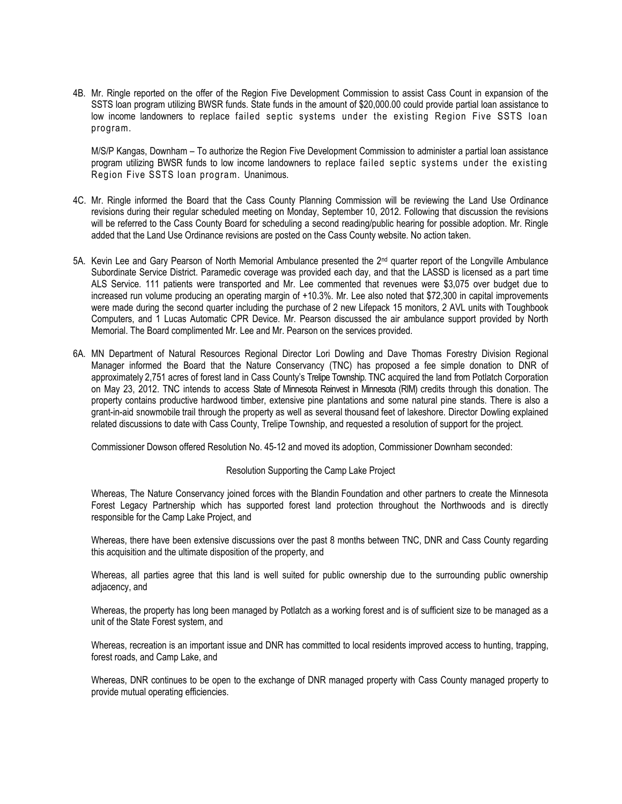4B. Mr. Ringle reported on the offer of the Region Five Development Commission to assist Cass Count in expansion of the SSTS loan program utilizing BWSR funds. State funds in the amount of \$20,000.00 could provide partial loan assistance to low income landowners to replace failed septic systems under the existing Region Five SSTS loan program.

M/S/P Kangas, Downham – To authorize the Region Five Development Commission to administer a partial loan assistance program utilizing BWSR funds to low income landowners to replace failed septic systems under the existing Region Five SSTS loan program. Unanimous.

- 4C. Mr. Ringle informed the Board that the Cass County Planning Commission will be reviewing the Land Use Ordinance revisions during their regular scheduled meeting on Monday, September 10, 2012. Following that discussion the revisions will be referred to the Cass County Board for scheduling a second reading/public hearing for possible adoption. Mr. Ringle added that the Land Use Ordinance revisions are posted on the Cass County website. No action taken.
- 5A. Kevin Lee and Gary Pearson of North Memorial Ambulance presented the 2nd quarter report of the Longville Ambulance Subordinate Service District. Paramedic coverage was provided each day, and that the LASSD is licensed as a part time ALS Service. 111 patients were transported and Mr. Lee commented that revenues were \$3,075 over budget due to increased run volume producing an operating margin of +10.3%. Mr. Lee also noted that \$72,300 in capital improvements were made during the second quarter including the purchase of 2 new Lifepack 15 monitors, 2 AVL units with Toughbook Computers, and 1 Lucas Automatic CPR Device. Mr. Pearson discussed the air ambulance support provided by North Memorial. The Board complimented Mr. Lee and Mr. Pearson on the services provided.
- 6A. MN Department of Natural Resources Regional Director Lori Dowling and Dave Thomas Forestry Division Regional Manager informed the Board that the Nature Conservancy (TNC) has proposed a fee simple donation to DNR of approximately 2,751 acres of forest land in Cass County's Trelipe Township. TNC acquired the land from Potlatch Corporation on May 23, 2012. TNC intends to access State of Minnesota Reinvest in Minnesota (RIM) credits through this donation. The property contains productive hardwood timber, extensive pine plantations and some natural pine stands. There is also a grant-in-aid snowmobile trail through the property as well as several thousand feet of lakeshore. Director Dowling explained related discussions to date with Cass County, Trelipe Township, and requested a resolution of support for the project.

Commissioner Dowson offered Resolution No. 45-12 and moved its adoption, Commissioner Downham seconded:

Resolution Supporting the Camp Lake Project

Whereas, The Nature Conservancy joined forces with the Blandin [Foundation](http://www.blandinfoundation.org/) and other partners to create the Minnesota Forest Legacy Partnership which has supported forest land protection throughout the Northwoods and is directly responsible for the Camp Lake Project, and

Whereas, there have been extensive discussions over the past 8 months between TNC, DNR and Cass County regarding this acquisition and the ultimate disposition of the property, and

Whereas, all parties agree that this land is well suited for public ownership due to the surrounding public ownership adjacency, and

Whereas, the property has long been managed by Potlatch as a working forest and is of sufficient size to be managed as a unit of the State Forest system, and

Whereas, recreation is an important issue and DNR has committed to local residents improved access to hunting, trapping, forest roads, and Camp Lake, and

Whereas, DNR continues to be open to the exchange of DNR managed property with Cass County managed property to provide mutual operating efficiencies.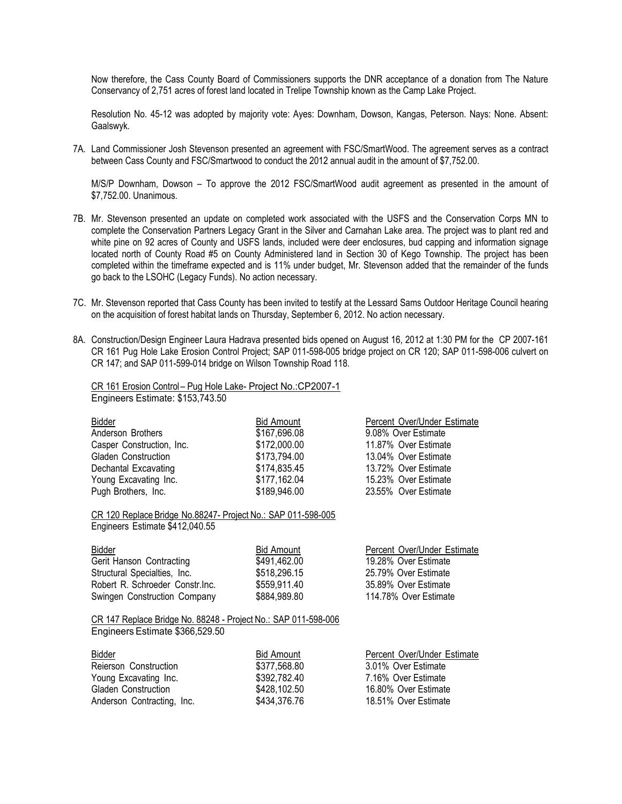Now therefore, the Cass County Board of Commissioners supports the DNR acceptance of a donation from The Nature Conservancy of 2,751 acres of forest land located in Trelipe Township known as the Camp Lake Project.

Resolution No. 45-12 was adopted by majority vote: Ayes: Downham, Dowson, Kangas, Peterson. Nays: None. Absent: Gaalswyk.

7A. Land Commissioner Josh Stevenson presented an agreement with FSC/SmartWood. The agreement serves as a contract between Cass County and FSC/Smartwood to conduct the 2012 annual audit in the amount of \$7,752.00.

M/S/P Downham, Dowson – To approve the 2012 FSC/SmartWood audit agreement as presented in the amount of \$7,752.00. Unanimous.

- 7B. Mr. Stevenson presented an update on completed work associated with the USFS and the Conservation Corps MN to complete the Conservation Partners Legacy Grant in the Silver and Carnahan Lake area. The project was to plant red and white pine on 92 acres of County and USFS lands, included were deer enclosures, bud capping and information signage located north of County Road #5 on County Administered land in Section 30 of Kego Township. The project has been completed within the timeframe expected and is 11% under budget, Mr. Stevenson added that the remainder of the funds go back to the LSOHC (Legacy Funds). No action necessary.
- 7C. Mr. Stevenson reported that Cass County has been invited to testify at the Lessard Sams Outdoor Heritage Council hearing on the acquisition of forest habitat lands on Thursday, September 6, 2012. No action necessary.
- 8A. Construction/Design Engineer Laura Hadrava presented bids opened on August 16, 2012 at 1:30 PM for the CP 2007-161 CR 161 Pug Hole Lake Erosion Control Project; SAP 011-598-005 bridge project on CR 120; SAP 011-598-006 culvert on CR 147; and SAP 011-599-014 bridge on Wilson Township Road 118.

CR 161 Erosion Control – Pug Hole Lake- Project No.:CP2007-1 Engineers Estimate: \$153,743.50

| Bidder                    |  |
|---------------------------|--|
| Anderson Brothers         |  |
| Casper Construction, Inc. |  |
| Gladen Construction       |  |
| Dechantal Excavating      |  |
| Young Excavating Inc.     |  |
| Pugh Brothers. Inc.       |  |

Bid Amount Percent Over/Under Estimate \$167,696.08 9.08% Over Estimate \$172,000.00 11.87% Over Estimate \$173,794.00 13.04% Over Estimate \$174,835.45 13.72% Over Estimate \$177,162.04 15.23% Over Estimate \$189,946.00 23.55% Over Estimate

CR 120 Replace Bridge No.88247- Project No.: SAP 011-598-005 Engineers Estimate \$412,040.55

Gerit Hanson Contracting  $$491,462.00$  19.28% Over Estimate Structural Specialties, Inc. \$518,296.15 25.79% Over Estimate Robert R. Schroeder Constr. Inc.  $$559,911.40$  35.89% Over Estimate Swingen Construction Company  $$884,989.80$  114.78% Over Estimate

Bidder **Bidder Bid Amount** Percent Over/Under Estimate

CR 147 Replace Bridge No. 88248 - Project No.: SAP 011-598-006 Engineers Estimate \$366,529.50

| <b>Bidder</b>              | <b>Bid Amount</b> | Percent Over/Under Estimate |
|----------------------------|-------------------|-----------------------------|
| Rejerson Construction      | \$377,568.80      | 3.01% Over Estimate         |
| Young Excavating Inc.      | \$392,782.40      | 7.16% Over Estimate         |
| <b>Gladen Construction</b> | \$428,102.50      | 16.80% Over Estimate        |
| Anderson Contracting, Inc. | \$434,376.76      | 18.51% Over Estimate        |